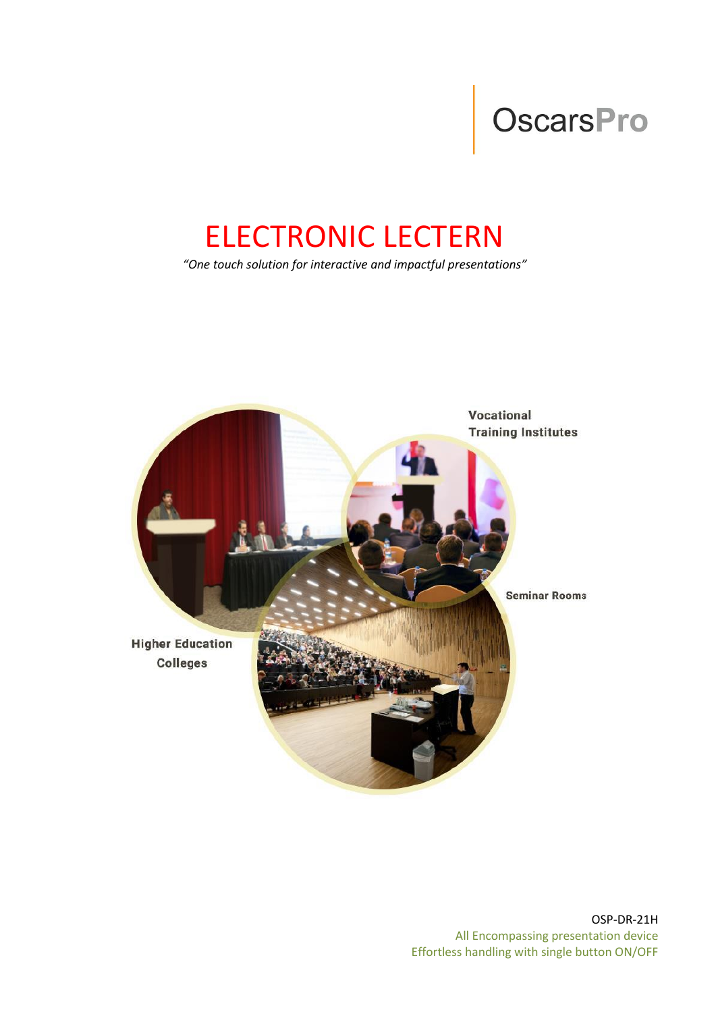# OscarsPro

## ELECTRONIC LECTERN

*"One touch solution for interactive and impactful presentations"*

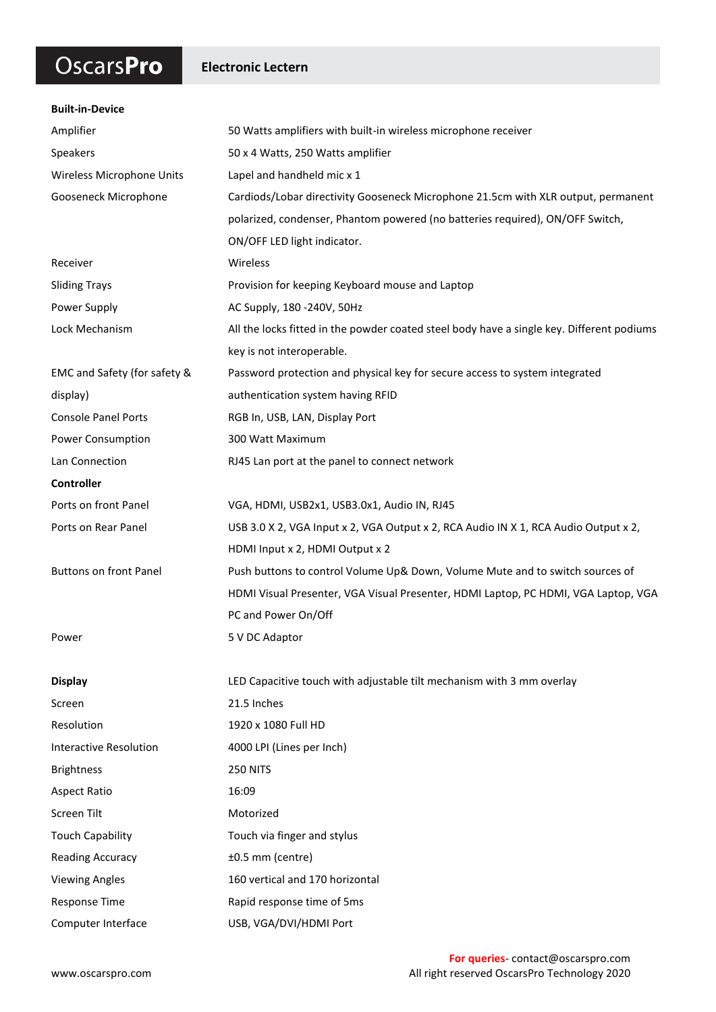## OscarsPro

#### **Electronic Lectern**

| <b>Built-in-Device</b>        |                                                                                           |
|-------------------------------|-------------------------------------------------------------------------------------------|
| Amplifier                     | 50 Watts amplifiers with built-in wireless microphone receiver                            |
| Speakers                      | 50 x 4 Watts, 250 Watts amplifier                                                         |
| Wireless Microphone Units     | Lapel and handheld mic x 1                                                                |
| Gooseneck Microphone          | Cardiods/Lobar directivity Gooseneck Microphone 21.5cm with XLR output, permanent         |
|                               | polarized, condenser, Phantom powered (no batteries required), ON/OFF Switch,             |
|                               | ON/OFF LED light indicator.                                                               |
| Receiver                      | Wireless                                                                                  |
| <b>Sliding Trays</b>          | Provision for keeping Keyboard mouse and Laptop                                           |
| Power Supply                  | AC Supply, 180 -240V, 50Hz                                                                |
| Lock Mechanism                | All the locks fitted in the powder coated steel body have a single key. Different podiums |
|                               | key is not interoperable.                                                                 |
| EMC and Safety (for safety &  | Password protection and physical key for secure access to system integrated               |
| display)                      | authentication system having RFID                                                         |
| <b>Console Panel Ports</b>    | RGB In, USB, LAN, Display Port                                                            |
| Power Consumption             | 300 Watt Maximum                                                                          |
| Lan Connection                | RJ45 Lan port at the panel to connect network                                             |
| Controller                    |                                                                                           |
| Ports on front Panel          | VGA, HDMI, USB2x1, USB3.0x1, Audio IN, RJ45                                               |
| Ports on Rear Panel           | USB 3.0 X 2, VGA Input x 2, VGA Output x 2, RCA Audio IN X 1, RCA Audio Output x 2,       |
|                               | HDMI Input x 2, HDMI Output x 2                                                           |
| <b>Buttons on front Panel</b> | Push buttons to control Volume Up& Down, Volume Mute and to switch sources of             |
|                               | HDMI Visual Presenter, VGA Visual Presenter, HDMI Laptop, PC HDMI, VGA Laptop, VGA        |
|                               | PC and Power On/Off                                                                       |
| Power                         | 5 V DC Adaptor                                                                            |
|                               |                                                                                           |
| <b>Display</b>                | LED Capacitive touch with adjustable tilt mechanism with 3 mm overlay                     |
| Screen                        | 21.5 Inches                                                                               |
| Resolution                    | 1920 x 1080 Full HD                                                                       |
| <b>Interactive Resolution</b> | 4000 LPI (Lines per Inch)                                                                 |
| <b>Brightness</b>             | <b>250 NITS</b>                                                                           |
| <b>Aspect Ratio</b>           | 16:09                                                                                     |
| Screen Tilt                   | Motorized                                                                                 |
| <b>Touch Capability</b>       | Touch via finger and stylus                                                               |
| <b>Reading Accuracy</b>       | ±0.5 mm (centre)                                                                          |
| <b>Viewing Angles</b>         | 160 vertical and 170 horizontal                                                           |
| Response Time                 | Rapid response time of 5ms                                                                |
| Computer Interface            | USB, VGA/DVI/HDMI Port                                                                    |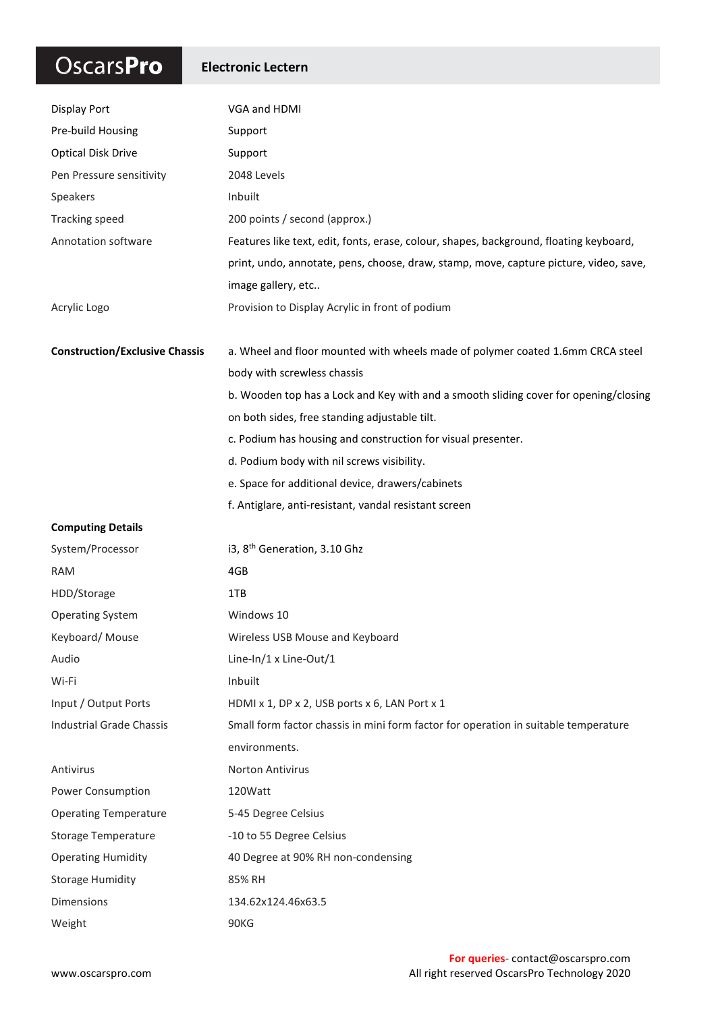## OscarsPro

#### **Electronic Lectern**

| <b>Display Port</b>                   | VGA and HDMI                                                                           |
|---------------------------------------|----------------------------------------------------------------------------------------|
| Pre-build Housing                     | Support                                                                                |
| <b>Optical Disk Drive</b>             | Support                                                                                |
| Pen Pressure sensitivity              | 2048 Levels                                                                            |
| Speakers                              | Inbuilt                                                                                |
| <b>Tracking speed</b>                 | 200 points / second (approx.)                                                          |
| Annotation software                   | Features like text, edit, fonts, erase, colour, shapes, background, floating keyboard, |
|                                       | print, undo, annotate, pens, choose, draw, stamp, move, capture picture, video, save,  |
|                                       | image gallery, etc                                                                     |
| Acrylic Logo                          | Provision to Display Acrylic in front of podium                                        |
| <b>Construction/Exclusive Chassis</b> | a. Wheel and floor mounted with wheels made of polymer coated 1.6mm CRCA steel         |
|                                       | body with screwless chassis                                                            |
|                                       | b. Wooden top has a Lock and Key with and a smooth sliding cover for opening/closing   |
|                                       | on both sides, free standing adjustable tilt.                                          |
|                                       | c. Podium has housing and construction for visual presenter.                           |
|                                       | d. Podium body with nil screws visibility.                                             |
|                                       | e. Space for additional device, drawers/cabinets                                       |
|                                       | f. Antiglare, anti-resistant, vandal resistant screen                                  |
| <b>Computing Details</b>              |                                                                                        |
| System/Processor                      | i3, 8 <sup>th</sup> Generation, 3.10 Ghz                                               |
| <b>RAM</b>                            | 4GB                                                                                    |
| HDD/Storage                           | 1TB                                                                                    |
| <b>Operating System</b>               | Windows 10                                                                             |
| Keyboard/Mouse                        | Wireless USB Mouse and Keyboard                                                        |
| Audio                                 | Line-In/1 x Line-Out/1                                                                 |
| Wi-Fi                                 | Inbuilt                                                                                |
| Input / Output Ports                  | HDMI x 1, DP x 2, USB ports x 6, LAN Port x 1                                          |
| <b>Industrial Grade Chassis</b>       | Small form factor chassis in mini form factor for operation in suitable temperature    |
|                                       | environments.                                                                          |
| Antivirus                             | <b>Norton Antivirus</b>                                                                |
| Power Consumption                     | 120Watt                                                                                |
| <b>Operating Temperature</b>          | 5-45 Degree Celsius                                                                    |
| <b>Storage Temperature</b>            | -10 to 55 Degree Celsius                                                               |
| <b>Operating Humidity</b>             | 40 Degree at 90% RH non-condensing                                                     |
| <b>Storage Humidity</b>               | 85% RH                                                                                 |
| Dimensions                            | 134.62x124.46x63.5                                                                     |
| Weight                                | 90KG                                                                                   |